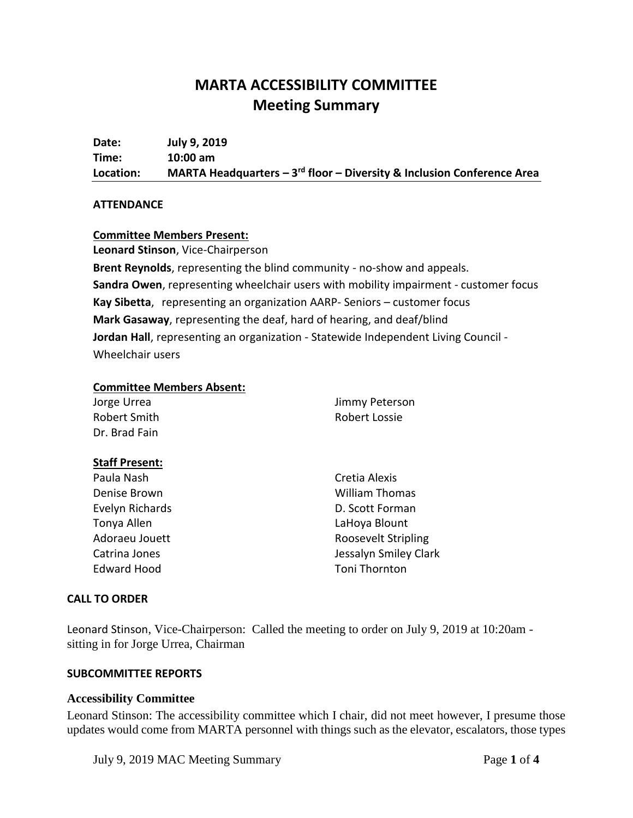# **MARTA ACCESSIBILITY COMMITTEE Meeting Summary**

**Date: July 9, 2019 Time: 10:00 am Location: MARTA Headquarters – 3 rd floor – Diversity & Inclusion Conference Area**

#### **ATTENDANCE**

#### **Committee Members Present:**

**Leonard Stinson**, Vice-Chairperson

**Brent Reynolds**, representing the blind community - no-show and appeals. **Sandra Owen**, representing wheelchair users with mobility impairment - customer focus **Kay Sibetta**, representing an organization AARP- Seniors – customer focus **Mark Gasaway**, representing the deaf, hard of hearing, and deaf/blind **Jordan Hall**, representing an organization - Statewide Independent Living Council - Wheelchair users

#### **Committee Members Absent:**

| Jimmy Peterson        |
|-----------------------|
| Robert Lossie         |
|                       |
|                       |
| Cretia Alexis         |
| <b>William Thomas</b> |
| D. Scott Forman       |
| LaHoya Blount         |
| Roosevelt Stripling   |
| Jessalyn Smiley Clark |
| Toni Thornton         |
|                       |

#### **CALL TO ORDER**

Leonard Stinson, Vice-Chairperson: Called the meeting to order on July 9, 2019 at 10:20am sitting in for Jorge Urrea, Chairman

#### **SUBCOMMITTEE REPORTS**

#### **Accessibility Committee**

Leonard Stinson: The accessibility committee which I chair, did not meet however, I presume those updates would come from MARTA personnel with things such as the elevator, escalators, those types

July 9, 2019 MAC Meeting Summary Page **1** of **4**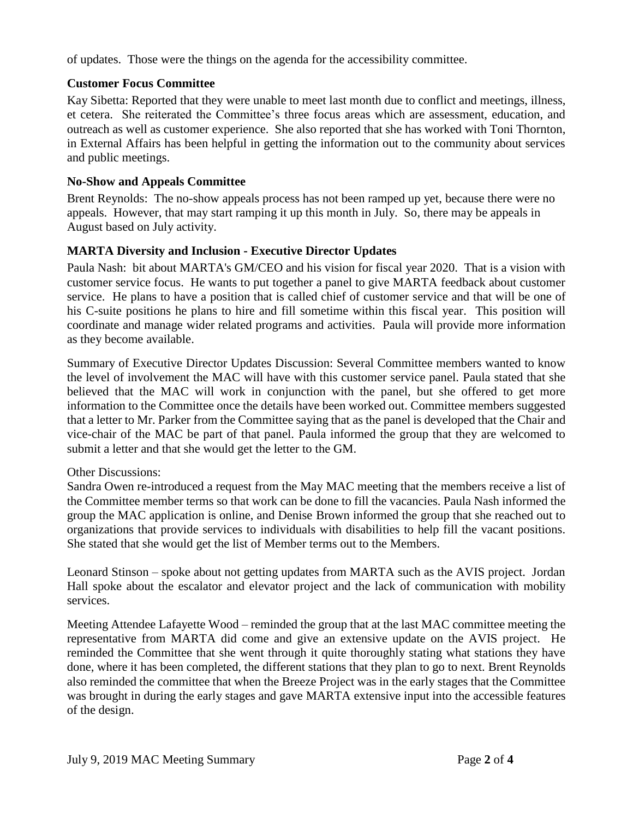of updates. Those were the things on the agenda for the accessibility committee.

## **Customer Focus Committee**

Kay Sibetta: Reported that they were unable to meet last month due to conflict and meetings, illness, et cetera. She reiterated the Committee's three focus areas which are assessment, education, and outreach as well as customer experience. She also reported that she has worked with Toni Thornton, in External Affairs has been helpful in getting the information out to the community about services and public meetings.

#### **No-Show and Appeals Committee**

Brent Reynolds: The no-show appeals process has not been ramped up yet, because there were no appeals. However, that may start ramping it up this month in July. So, there may be appeals in August based on July activity.

## **MARTA Diversity and Inclusion - Executive Director Updates**

Paula Nash: bit about MARTA's GM/CEO and his vision for fiscal year 2020. That is a vision with customer service focus. He wants to put together a panel to give MARTA feedback about customer service. He plans to have a position that is called chief of customer service and that will be one of his C-suite positions he plans to hire and fill sometime within this fiscal year. This position will coordinate and manage wider related programs and activities. Paula will provide more information as they become available.

Summary of Executive Director Updates Discussion: Several Committee members wanted to know the level of involvement the MAC will have with this customer service panel. Paula stated that she believed that the MAC will work in conjunction with the panel, but she offered to get more information to the Committee once the details have been worked out. Committee members suggested that a letter to Mr. Parker from the Committee saying that as the panel is developed that the Chair and vice-chair of the MAC be part of that panel. Paula informed the group that they are welcomed to submit a letter and that she would get the letter to the GM.

## Other Discussions:

Sandra Owen re-introduced a request from the May MAC meeting that the members receive a list of the Committee member terms so that work can be done to fill the vacancies. Paula Nash informed the group the MAC application is online, and Denise Brown informed the group that she reached out to organizations that provide services to individuals with disabilities to help fill the vacant positions. She stated that she would get the list of Member terms out to the Members.

Leonard Stinson – spoke about not getting updates from MARTA such as the AVIS project. Jordan Hall spoke about the escalator and elevator project and the lack of communication with mobility services.

Meeting Attendee Lafayette Wood – reminded the group that at the last MAC committee meeting the representative from MARTA did come and give an extensive update on the AVIS project. He reminded the Committee that she went through it quite thoroughly stating what stations they have done, where it has been completed, the different stations that they plan to go to next. Brent Reynolds also reminded the committee that when the Breeze Project was in the early stages that the Committee was brought in during the early stages and gave MARTA extensive input into the accessible features of the design.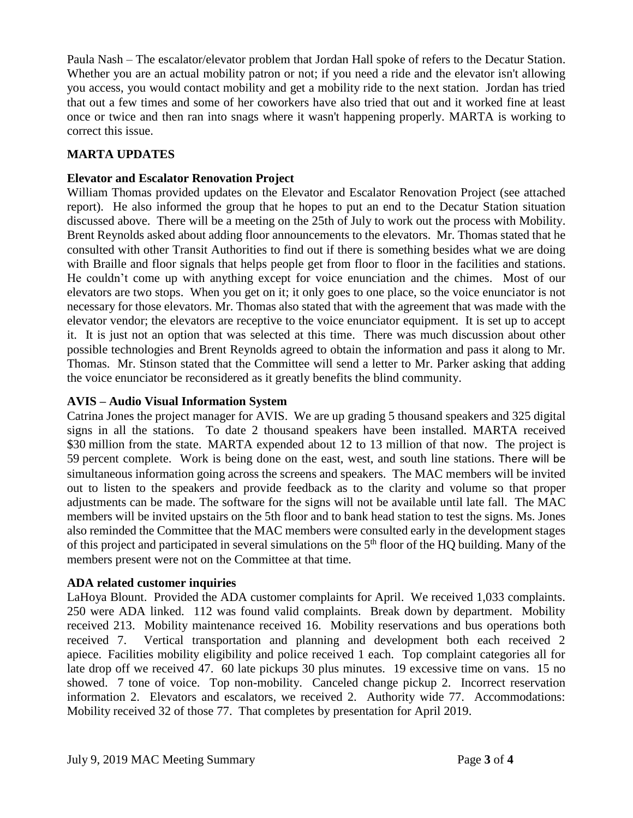Paula Nash – The escalator/elevator problem that Jordan Hall spoke of refers to the Decatur Station. Whether you are an actual mobility patron or not; if you need a ride and the elevator isn't allowing you access, you would contact mobility and get a mobility ride to the next station. Jordan has tried that out a few times and some of her coworkers have also tried that out and it worked fine at least once or twice and then ran into snags where it wasn't happening properly. MARTA is working to correct this issue.

## **MARTA UPDATES**

## **Elevator and Escalator Renovation Project**

William Thomas provided updates on the Elevator and Escalator Renovation Project (see attached report). He also informed the group that he hopes to put an end to the Decatur Station situation discussed above. There will be a meeting on the 25th of July to work out the process with Mobility. Brent Reynolds asked about adding floor announcements to the elevators. Mr. Thomas stated that he consulted with other Transit Authorities to find out if there is something besides what we are doing with Braille and floor signals that helps people get from floor to floor in the facilities and stations. He couldn't come up with anything except for voice enunciation and the chimes. Most of our elevators are two stops. When you get on it; it only goes to one place, so the voice enunciator is not necessary for those elevators. Mr. Thomas also stated that with the agreement that was made with the elevator vendor; the elevators are receptive to the voice enunciator equipment. It is set up to accept it. It is just not an option that was selected at this time. There was much discussion about other possible technologies and Brent Reynolds agreed to obtain the information and pass it along to Mr. Thomas. Mr. Stinson stated that the Committee will send a letter to Mr. Parker asking that adding the voice enunciator be reconsidered as it greatly benefits the blind community.

## **AVIS – Audio Visual Information System**

Catrina Jones the project manager for AVIS. We are up grading 5 thousand speakers and 325 digital signs in all the stations. To date 2 thousand speakers have been installed. MARTA received \$30 million from the state. MARTA expended about 12 to 13 million of that now. The project is 59 percent complete. Work is being done on the east, west, and south line stations. There will be simultaneous information going across the screens and speakers. The MAC members will be invited out to listen to the speakers and provide feedback as to the clarity and volume so that proper adjustments can be made. The software for the signs will not be available until late fall. The MAC members will be invited upstairs on the 5th floor and to bank head station to test the signs. Ms. Jones also reminded the Committee that the MAC members were consulted early in the development stages of this project and participated in several simulations on the  $5<sup>th</sup>$  floor of the HQ building. Many of the members present were not on the Committee at that time.

## **ADA related customer inquiries**

LaHoya Blount. Provided the ADA customer complaints for April. We received 1,033 complaints. 250 were ADA linked. 112 was found valid complaints. Break down by department. Mobility received 213. Mobility maintenance received 16. Mobility reservations and bus operations both received 7. Vertical transportation and planning and development both each received 2 apiece. Facilities mobility eligibility and police received 1 each. Top complaint categories all for late drop off we received 47. 60 late pickups 30 plus minutes. 19 excessive time on vans. 15 no showed. 7 tone of voice. Top non-mobility. Canceled change pickup 2. Incorrect reservation information 2. Elevators and escalators, we received 2. Authority wide 77. Accommodations: Mobility received 32 of those 77. That completes by presentation for April 2019.